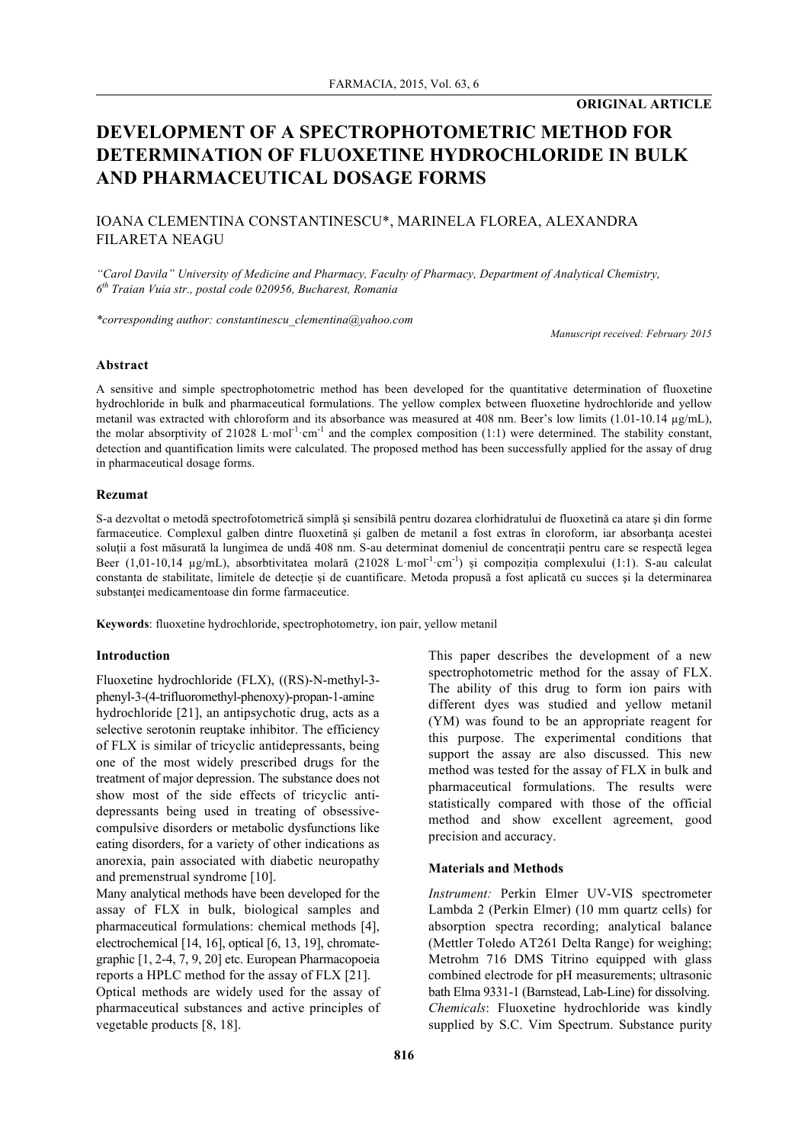# **DEVELOPMENT OF A SPECTROPHOTOMETRIC METHOD FOR DETERMINATION OF FLUOXETINE HYDROCHLORIDE IN BULK AND PHARMACEUTICAL DOSAGE FORMS**

# IOANA CLEMENTINA CONSTANTINESCU\*, MARINELA FLOREA, ALEXANDRA FILARETA NEAGU

*"Carol Davila" University of Medicine and Pharmacy, Faculty of Pharmacy, Department of Analytical Chemistry, 6th Traian Vuia str., postal code 020956, Bucharest, Romania*

*\*corresponding author: constantinescu\_clementina@yahoo.com*

*Manuscript received: February 2015*

## **Abstract**

A sensitive and simple spectrophotometric method has been developed for the quantitative determination of fluoxetine hydrochloride in bulk and pharmaceutical formulations. The yellow complex between fluoxetine hydrochloride and yellow metanil was extracted with chloroform and its absorbance was measured at 408 nm. Beer's low limits (1.01-10.14 µg/mL), the molar absorptivity of 21028 L·mol<sup>-1</sup>·cm<sup>-1</sup> and the complex composition (1:1) were determined. The stability constant, detection and quantification limits were calculated. The proposed method has been successfully applied for the assay of drug in pharmaceutical dosage forms.

#### **Rezumat**

S-a dezvoltat o metodă spectrofotometrică simplă și sensibilă pentru dozarea clorhidratului de fluoxetină ca atare și din forme farmaceutice. Complexul galben dintre fluoxetină și galben de metanil a fost extras în cloroform, iar absorbanţa acestei soluții a fost măsurată la lungimea de undă 408 nm. S-au determinat domeniul de concentrații pentru care se respectă legea Beer (1,01-10,14 µg/mL), absorbtivitatea molară (21028 L·mol<sup>-1</sup>·cm<sup>-1</sup>) și compoziția complexului (1:1). S-au calculat constanta de stabilitate, limitele de detecție și de cuantificare. Metoda propusă a fost aplicată cu succes şi la determinarea substantei medicamentoase din forme farmaceutice.

**Keywords**: fluoxetine hydrochloride, spectrophotometry, ion pair, yellow metanil

## **Introduction**

Fluoxetine hydrochloride (FLX), ((RS)-N-methyl-3 phenyl-3-(4-trifluoromethyl-phenoxy)-propan-1-amine hydrochloride [21], an antipsychotic drug, acts as a selective serotonin reuptake inhibitor. The efficiency of FLX is similar of tricyclic antidepressants, being one of the most widely prescribed drugs for the treatment of major depression. The substance does not show most of the side effects of tricyclic antidepressants being used in treating of obsessivecompulsive disorders or metabolic dysfunctions like eating disorders, for a variety of other indications as anorexia, pain associated with diabetic neuropathy and premenstrual syndrome [10].

Many analytical methods have been developed for the assay of FLX in bulk, biological samples and pharmaceutical formulations: chemical methods [4], electrochemical [14, 16], optical [6, 13, 19], chromategraphic [1, 2-4, 7, 9, 20] etc. European Pharmacopoeia reports a HPLC method for the assay of FLX [21]. Optical methods are widely used for the assay of pharmaceutical substances and active principles of vegetable products [8, 18].

This paper describes the development of a new spectrophotometric method for the assay of FLX. The ability of this drug to form ion pairs with different dyes was studied and yellow metanil (YM) was found to be an appropriate reagent for this purpose. The experimental conditions that support the assay are also discussed. This new method was tested for the assay of FLX in bulk and pharmaceutical formulations. The results were statistically compared with those of the official method and show excellent agreement, good precision and accuracy.

#### **Materials and Methods**

*Instrument:* Perkin Elmer UV-VIS spectrometer Lambda 2 (Perkin Elmer) (10 mm quartz cells) for absorption spectra recording; analytical balance (Mettler Toledo AT261 Delta Range) for weighing; Metrohm 716 DMS Titrino equipped with glass combined electrode for pH measurements; ultrasonic bath Elma 9331-1 (Barnstead, Lab-Line) for dissolving. *Chemicals*: Fluoxetine hydrochloride was kindly supplied by S.C. Vim Spectrum. Substance purity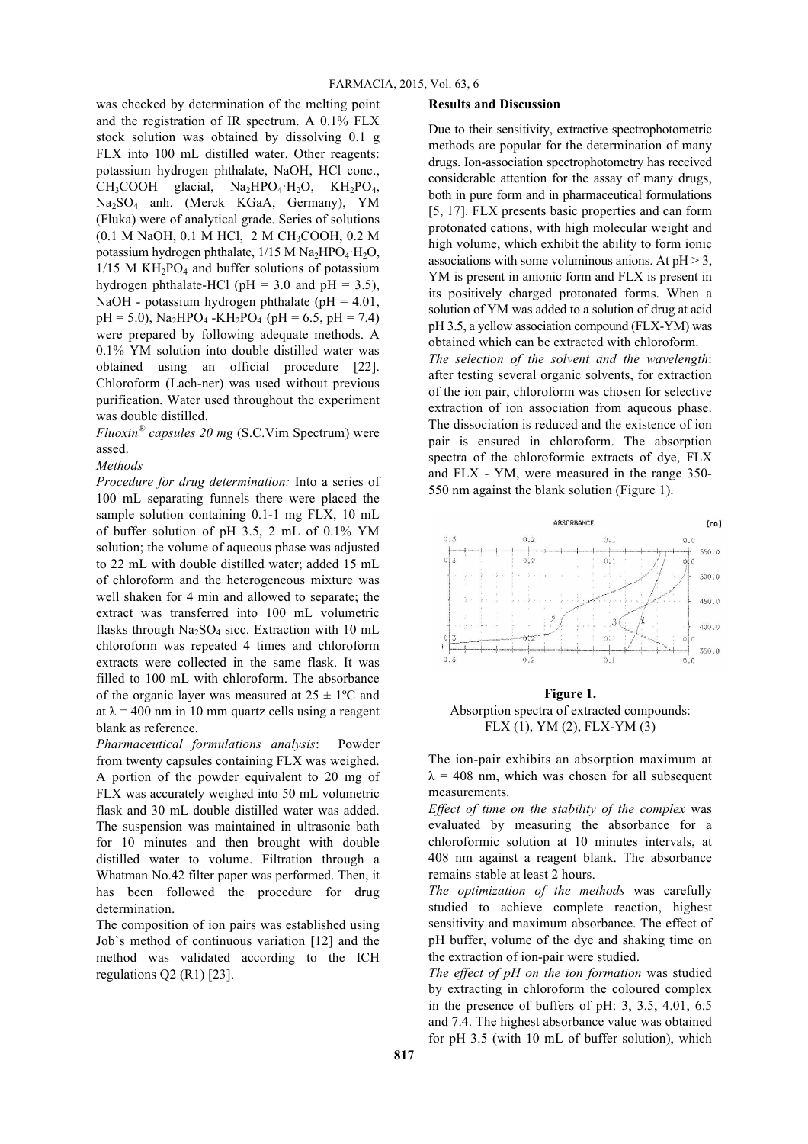was checked by determination of the melting point and the registration of IR spectrum. A 0.1% FLX stock solution was obtained by dissolving 0.1 g FLX into 100 mL distilled water. Other reagents: potassium hydrogen phthalate, NaOH, HCl conc.,  $CH_3COOH$  glacial,  $Na_2HPO_4·H_2O$ ,  $KH_2PO_4$ , Na2SO4 anh. (Merck KGaA, Germany), YM (Fluka) were of analytical grade. Series of solutions (0.1 M NaOH, 0.1 M HCl, 2 M CH3COOH, 0.2 M potassium hydrogen phthalate,  $1/15$  M Na<sub>2</sub>HPO<sub>4</sub>·H<sub>2</sub>O,  $1/15$  M KH<sub>2</sub>PO<sub>4</sub> and buffer solutions of potassium hydrogen phthalate-HCl ( $pH = 3.0$  and  $pH = 3.5$ ), NaOH - potassium hydrogen phthalate ( $pH = 4.01$ ,  $pH = 5.0$ ), Na<sub>2</sub>HPO<sub>4</sub> -KH<sub>2</sub>PO<sub>4</sub> ( $pH = 6.5$ ,  $pH = 7.4$ ) were prepared by following adequate methods. A 0.1% YM solution into double distilled water was obtained using an official procedure [22]. Chloroform (Lach-ner) was used without previous purification. Water used throughout the experiment was double distilled.

*Fluoxin® capsules 20 mg* (S.C.Vim Spectrum) were assed.

## *Methods*

*Procedure for drug determination:* Into a series of 100 mL separating funnels there were placed the sample solution containing 0.1-1 mg FLX, 10 mL of buffer solution of pH 3.5, 2 mL of 0.1% YM solution; the volume of aqueous phase was adjusted to 22 mL with double distilled water; added 15 mL of chloroform and the heterogeneous mixture was well shaken for 4 min and allowed to separate; the extract was transferred into 100 mL volumetric flasks through  $Na<sub>2</sub>SO<sub>4</sub>$  sicc. Extraction with 10 mL chloroform was repeated 4 times and chloroform extracts were collected in the same flask. It was filled to 100 mL with chloroform. The absorbance of the organic layer was measured at  $25 \pm 1$ °C and at  $\lambda$  = 400 nm in 10 mm quartz cells using a reagent blank as reference.

*Pharmaceutical formulations analysis*: Powder from twenty capsules containing FLX was weighed. A portion of the powder equivalent to 20 mg of FLX was accurately weighed into 50 mL volumetric flask and 30 mL double distilled water was added. The suspension was maintained in ultrasonic bath for 10 minutes and then brought with double distilled water to volume. Filtration through a Whatman No.42 filter paper was performed. Then, it has been followed the procedure for drug determination.

The composition of ion pairs was established using Job`s method of continuous variation [12] and the method was validated according to the ICH regulations Q2 (R1) [23].

## **Results and Discussion**

Due to their sensitivity, extractive spectrophotometric methods are popular for the determination of many drugs. Ion-association spectrophotometry has received considerable attention for the assay of many drugs, both in pure form and in pharmaceutical formulations [5, 17]. FLX presents basic properties and can form protonated cations, with high molecular weight and high volume, which exhibit the ability to form ionic associations with some voluminous anions. At  $pH > 3$ , YM is present in anionic form and FLX is present in its positively charged protonated forms. When a solution of YM was added to a solution of drug at acid pH 3.5, a yellow association compound (FLX-YM) was obtained which can be extracted with chloroform. *The selection of the solvent and the wavelength*:

after testing several organic solvents, for extraction of the ion pair, chloroform was chosen for selective extraction of ion association from aqueous phase. The dissociation is reduced and the existence of ion pair is ensured in chloroform. The absorption spectra of the chloroformic extracts of dye, FLX and FLX - YM, were measured in the range 350- 550 nm against the blank solution (Figure 1).



**Figure 1.** Absorption spectra of extracted compounds: FLX (1), YM (2), FLX-YM (3)

The ion-pair exhibits an absorption maximum at  $\lambda$  = 408 nm, which was chosen for all subsequent measurements.

*Effect of time on the stability of the complex* was evaluated by measuring the absorbance for a chloroformic solution at 10 minutes intervals, at 408 nm against a reagent blank. The absorbance remains stable at least 2 hours.

*The optimization of the methods* was carefully studied to achieve complete reaction, highest sensitivity and maximum absorbance. The effect of pH buffer, volume of the dye and shaking time on the extraction of ion-pair were studied.

*The effect of pH on the ion formation* was studied by extracting in chloroform the coloured complex in the presence of buffers of pH: 3, 3.5, 4.01, 6.5 and 7.4. The highest absorbance value was obtained for pH 3.5 (with 10 mL of buffer solution), which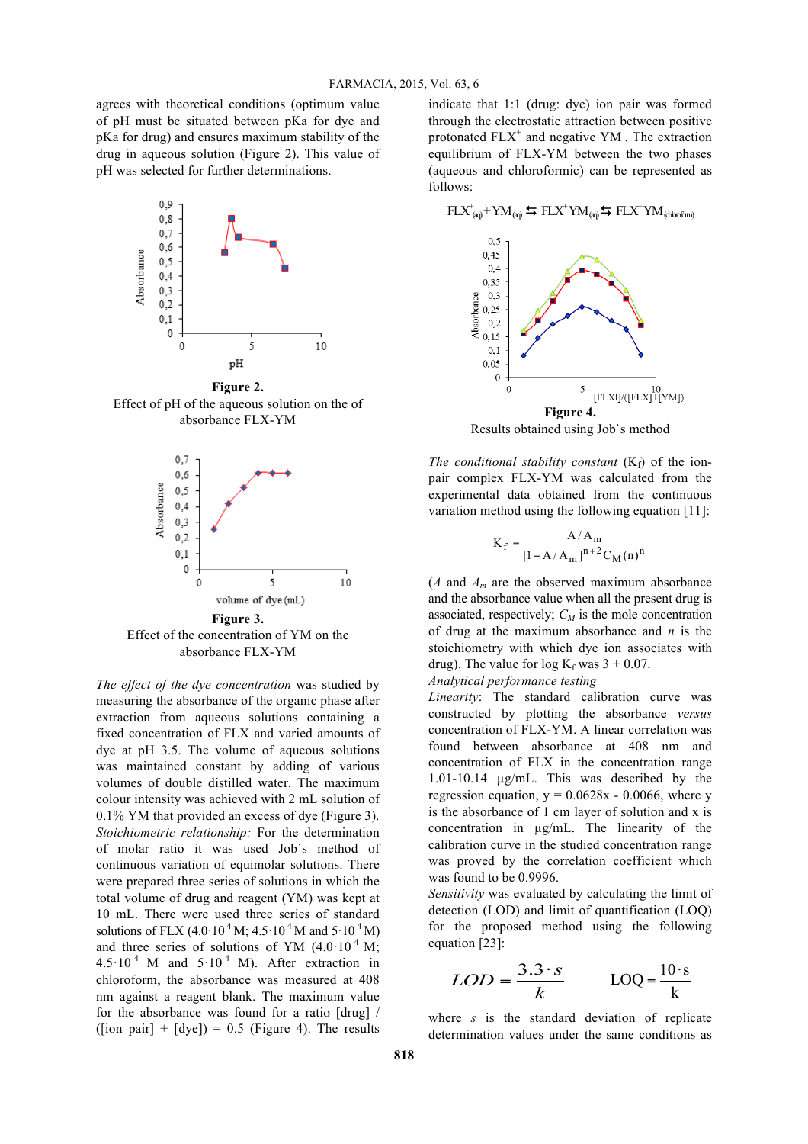agrees with theoretical conditions (optimum value of pH must be situated between pKa for dye and pKa for drug) and ensures maximum stability of the drug in aqueous solution (Figure 2). This value of pH was selected for further determinations.



**Figure 2.** Effect of pH of the aqueous solution on the of absorbance FLX-YM



absorbance FLX-YM

*The effect of the dye concentration* was studied by measuring the absorbance of the organic phase after extraction from aqueous solutions containing a fixed concentration of FLX and varied amounts of dye at pH 3.5. The volume of aqueous solutions was maintained constant by adding of various volumes of double distilled water. The maximum colour intensity was achieved with 2 mL solution of 0.1% YM that provided an excess of dye (Figure 3). *Stoichiometric relationship:* For the determination of molar ratio it was used Job`s method of continuous variation of equimolar solutions. There were prepared three series of solutions in which the total volume of drug and reagent (YM) was kept at 10 mL. There were used three series of standard solutions of FLX (4.0·10<sup>-4</sup> M; 4.5·10<sup>-4</sup> M and 5·10<sup>-4</sup> M) and three series of solutions of YM  $(4.0.10<sup>-4</sup> M;$  $4.5 \cdot 10^{-4}$  M and  $5 \cdot 10^{-4}$  M). After extraction in chloroform, the absorbance was measured at 408 nm against a reagent blank. The maximum value for the absorbance was found for a ratio [drug] / ([ion pair] +  $[dye]$ ] = 0.5 (Figure 4). The results

indicate that 1:1 (drug: dye) ion pair was formed through the electrostatic attraction between positive protonated  $FLX^+$  and negative YM<sup>-</sup>. The extraction equilibrium of FLX-YM between the two phases (aqueous and chloroformic) can be represented as follows:

 $FLX^+_{(aq)}+YM_{(aq)} \Leftrightarrow FLX^+YM_{(aq)} \Leftrightarrow FLX^+YM_{(chkrofarm)}$ 



*The conditional stability constant*  $(K_f)$  of the ionpair complex FLX-YM was calculated from the experimental data obtained from the continuous variation method using the following equation [11]:

$$
K_{f} = \frac{A/A_{m}}{[1 - A/A_{m}]^{n+2}C_{M}(n)^{n}}
$$

(*A* and  $A_m$  are the observed maximum absorbance and the absorbance value when all the present drug is associated, respectively;  $C_M$  is the mole concentration of drug at the maximum absorbance and *n* is the stoichiometry with which dye ion associates with drug). The value for log  $K_f$  was  $3 \pm 0.07$ .

## *Analytical performance testing*

*Linearity*: The standard calibration curve was constructed by plotting the absorbance *versus* concentration of FLX-YM. A linear correlation was found between absorbance at 408 nm and concentration of FLX in the concentration range 1.01-10.14 µg/mL. This was described by the regression equation,  $y = 0.0628x - 0.0066$ , where y is the absorbance of 1 cm layer of solution and x is concentration in µg/mL. The linearity of the calibration curve in the studied concentration range was proved by the correlation coefficient which was found to be 0.9996.

*Sensitivity* was evaluated by calculating the limit of detection (LOD) and limit of quantification (LOQ) for the proposed method using the following equation [23]:

$$
LOD = \frac{3.3 \cdot s}{k} \qquad \text{LOQ} = \frac{10 \cdot s}{k}
$$

where *s* is the standard deviation of replicate determination values under the same conditions as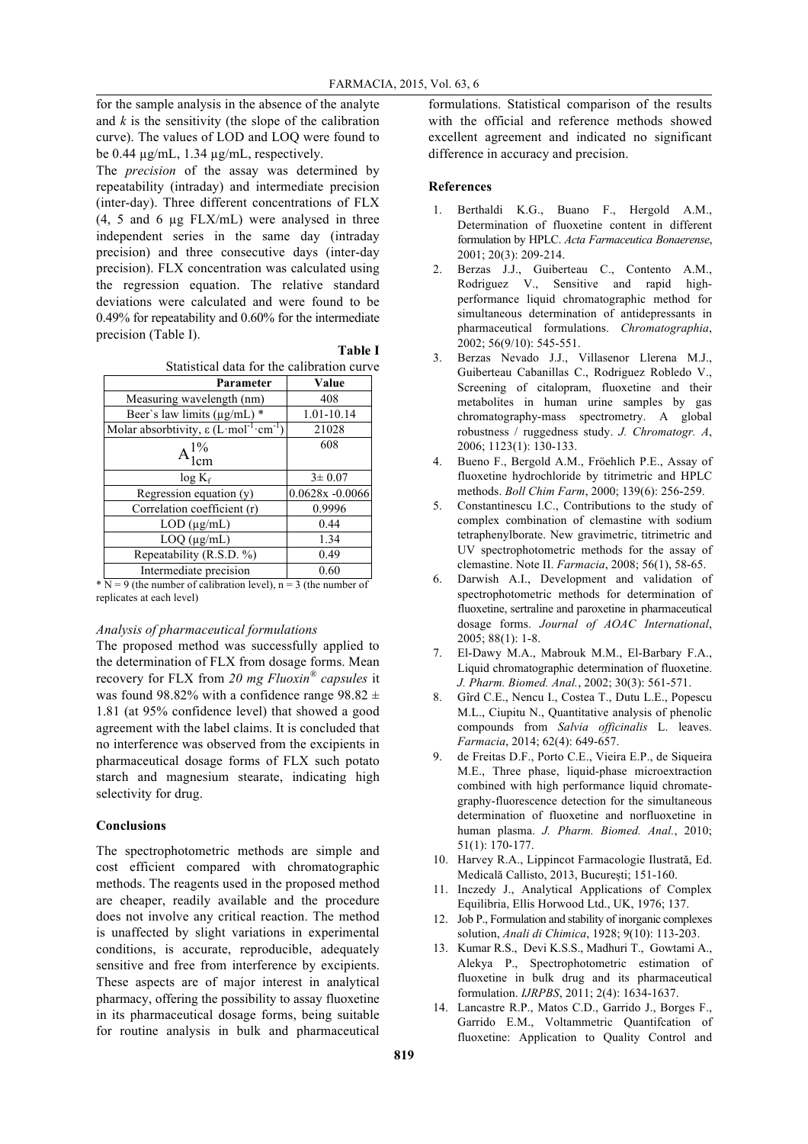for the sample analysis in the absence of the analyte and *k* is the sensitivity (the slope of the calibration curve). The values of LOD and LOQ were found to be 0.44 µg/mL, 1.34 µg/mL, respectively.

The *precision* of the assay was determined by repeatability (intraday) and intermediate precision (inter-day). Three different concentrations of FLX (4, 5 and 6 µg FLX/mL) were analysed in three independent series in the same day (intraday precision) and three consecutive days (inter-day precision). FLX concentration was calculated using the regression equation. The relative standard deviations were calculated and were found to be 0.49% for repeatability and 0.60% for the intermediate precision (Table I).

|  |                                            | <b>Table I</b> |
|--|--------------------------------------------|----------------|
|  | Statistical data for the calibration curve |                |

| Parameter                                                                 | Value              |
|---------------------------------------------------------------------------|--------------------|
| Measuring wavelength (nm)                                                 | 408                |
| Beer's law limits (µg/mL) *                                               | 1.01-10.14         |
| Molar absorbtivity, $\varepsilon$ (L mol <sup>-1</sup> cm <sup>-1</sup> ) | 21028              |
| $A_{1cm}^{1\%}$                                                           | 608                |
| $log K_f$                                                                 | $3 \pm 0.07$       |
| $\overline{\text{Regression equation}}(y)$                                | $0.0628x - 0.0066$ |
| Correlation coefficient (r)                                               | 0.9996             |
| $LOD$ ( $\mu$ g/mL)                                                       | 0.44               |
| $LOQ$ ( $\mu$ g/mL)                                                       | 1.34               |
| Repeatability (R.S.D. %)                                                  | 0.49               |
| Intermediate precision                                                    | 0.60               |

 $*\overline{N} = 9$  (the number of calibration level), n = 3 (the number of replicates at each level)

### *Analysis of pharmaceutical formulations*

The proposed method was successfully applied to the determination of FLX from dosage forms. Mean recovery for FLX from *20 mg Fluoxin® capsules* it was found 98.82% with a confidence range 98.82  $\pm$ 1.81 (at 95% confidence level) that showed a good agreement with the label claims. It is concluded that no interference was observed from the excipients in pharmaceutical dosage forms of FLX such potato starch and magnesium stearate, indicating high selectivity for drug.

## **Conclusions**

The spectrophotometric methods are simple and cost efficient compared with chromatographic methods. The reagents used in the proposed method are cheaper, readily available and the procedure does not involve any critical reaction. The method is unaffected by slight variations in experimental conditions, is accurate, reproducible, adequately sensitive and free from interference by excipients. These aspects are of major interest in analytical pharmacy, offering the possibility to assay fluoxetine in its pharmaceutical dosage forms, being suitable for routine analysis in bulk and pharmaceutical

formulations. Statistical comparison of the results with the official and reference methods showed excellent agreement and indicated no significant difference in accuracy and precision.

## **References**

- 1. Berthaldi K.G., Buano F., Hergold A.M., Determination of fluoxetine content in different formulation by HPLC. *Acta Farmaceutica Bonaerense*, 2001; 20(3): 209-214.
- 2. Berzas J.J., Guiberteau C., Contento A.M., Rodriguez V., Sensitive and rapid highperformance liquid chromatographic method for simultaneous determination of antidepressants in pharmaceutical formulations. *Chromatographia*, 2002; 56(9/10): 545-551.
- 3. Berzas Nevado J.J., Villasenor Llerena M.J., Guiberteau Cabanillas C., Rodriguez Robledo V., Screening of citalopram, fluoxetine and their metabolites in human urine samples by gas chromatography-mass spectrometry. A global robustness / ruggedness study. *J. Chromatogr. A*, 2006; 1123(1): 130-133.
- 4. Bueno F., Bergold A.M., Fröehlich P.E., Assay of fluoxetine hydrochloride by titrimetric and HPLC methods. *Boll Chim Farm*, 2000; 139(6): 256-259.
- 5. Constantinescu I.C., Contributions to the study of complex combination of clemastine with sodium tetraphenylborate. New gravimetric, titrimetric and UV spectrophotometric methods for the assay of clemastine. Note II. *Farmacia*, 2008; 56(1), 58-65.
- 6. Darwish A.I., Development and validation of spectrophotometric methods for determination of fluoxetine, sertraline and paroxetine in pharmaceutical dosage forms. *Journal of AOAC International*, 2005; 88(1): 1-8.
- 7. El-Dawy M.A., Mabrouk M.M., El-Barbary F.A., Liquid chromatographic determination of fluoxetine. *J. Pharm. Biomed. Anal.*, 2002; 30(3): 561-571.
- 8. Gîrd C.E., Nencu I., Costea T., Dutu L.E., Popescu M.L., Ciupitu N., Quantitative analysis of phenolic compounds from *Salvia officinalis* L. leaves. *Farmacia*, 2014; 62(4): 649-657.
- 9. de Freitas D.F., Porto C.E., Vieira E.P., de Siqueira M.E., Three phase, liquid-phase microextraction combined with high performance liquid chromategraphy-fluorescence detection for the simultaneous determination of fluoxetine and norfluoxetine in human plasma. *J. Pharm. Biomed. Anal.*, 2010; 51(1): 170-177.
- 10. Harvey R.A., Lippincot Farmacologie Ilustrată, Ed. Medicală Callisto, 2013, București; 151-160.
- 11. Inczedy J., Analytical Applications of Complex Equilibria, Ellis Horwood Ltd., UK, 1976; 137.
- 12. Job P., Formulation and stability of inorganic complexes solution, *Anali di Chimica*, 1928; 9(10): 113-203.
- 13. Kumar R.S., Devi K.S.S., Madhuri T., Gowtami A., Alekya P., Spectrophotometric estimation of fluoxetine in bulk drug and its pharmaceutical formulation. *IJRPBS*, 2011; 2(4): 1634-1637.
- 14. Lancastre R.P., Matos C.D., Garrido J., Borges F., Garrido E.M., Voltammetric Quantifcation of fluoxetine: Application to Quality Control and